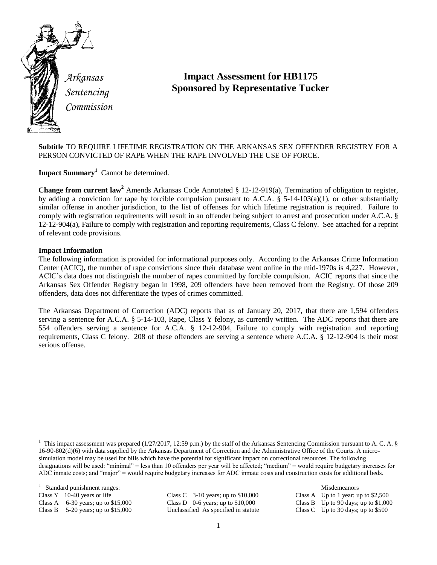

*Sentencing Commission*

# **Impact Assessment for HB1175 Sponsored by Representative Tucker**

**Subtitle** TO REQUIRE LIFETIME REGISTRATION ON THE ARKANSAS SEX OFFENDER REGISTRY FOR A PERSON CONVICTED OF RAPE WHEN THE RAPE INVOLVED THE USE OF FORCE.

**Impact Summary<sup>1</sup>** Cannot be determined.

**Change from current law<sup>2</sup>** Amends Arkansas Code Annotated § 12-12-919(a), Termination of obligation to register, by adding a conviction for rape by forcible compulsion pursuant to A.C.A. § 5-14-103(a)(1), or other substantially similar offense in another jurisdiction, to the list of offenses for which lifetime registration is required. Failure to comply with registration requirements will result in an offender being subject to arrest and prosecution under A.C.A. § 12-12-904(a), Failure to comply with registration and reporting requirements, Class C felony. See attached for a reprint of relevant code provisions.

## **Impact Information**

The following information is provided for informational purposes only. According to the Arkansas Crime Information Center (ACIC), the number of rape convictions since their database went online in the mid-1970s is 4,227. However, ACIC's data does not distinguish the number of rapes committed by forcible compulsion. ACIC reports that since the Arkansas Sex Offender Registry began in 1998, 209 offenders have been removed from the Registry. Of those 209 offenders, data does not differentiate the types of crimes committed.

The Arkansas Department of Correction (ADC) reports that as of January 20, 2017, that there are 1,594 offenders serving a sentence for A.C.A. § 5-14-103, Rape, Class Y felony, as currently written. The ADC reports that there are 554 offenders serving a sentence for A.C.A. § 12-12-904, Failure to comply with registration and reporting requirements, Class C felony. 208 of these offenders are serving a sentence where A.C.A. § 12-12-904 is their most serious offense.

<sup>2</sup> Standard punishment ranges: Misdemeanors

 $\overline{\phantom{a}}$ 

Class B 5-20 years; up to \$15,000 Unclassified As specified in statute Class C Up to 30 days; up to \$500

Class Y 10-40 years or life Class C 3-10 years; up to \$10,000 Class A Up to 1 year; up to \$2,500 Class A 6-30 years; up to \$15,000 Class D 0-6 years; up to \$10,000 Class B Up to 90 days; up to \$1,000

<sup>&</sup>lt;sup>1</sup> This impact assessment was prepared (1/27/2017, 12:59 p.m.) by the staff of the Arkansas Sentencing Commission pursuant to A. C. A. § 16-90-802(d)(6) with data supplied by the Arkansas Department of Correction and the Administrative Office of the Courts. A microsimulation model may be used for bills which have the potential for significant impact on correctional resources. The following designations will be used: "minimal" = less than 10 offenders per year will be affected; "medium" = would require budgetary increases for ADC inmate costs; and "major" = would require budgetary increases for ADC inmate costs and construction costs for additional beds.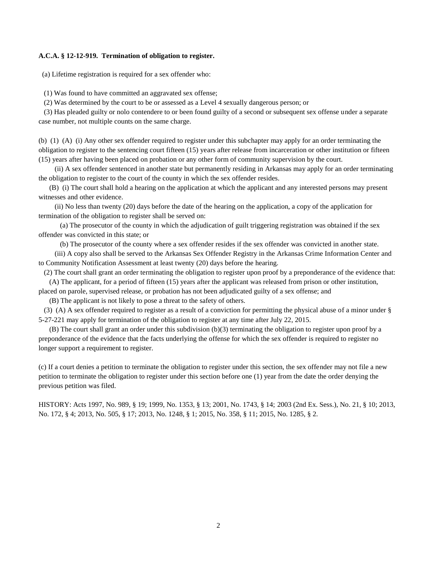#### **A.C.A. § 12-12-919. Termination of obligation to register.**

(a) Lifetime registration is required for a sex offender who:

(1) Was found to have committed an aggravated sex offense;

(2) Was determined by the court to be or assessed as a Level 4 sexually dangerous person; or

 (3) Has pleaded guilty or nolo contendere to or been found guilty of a second or subsequent sex offense under a separate case number, not multiple counts on the same charge.

(b) (1) (A) (i) Any other sex offender required to register under this subchapter may apply for an order terminating the obligation to register to the sentencing court fifteen (15) years after release from incarceration or other institution or fifteen (15) years after having been placed on probation or any other form of community supervision by the court.

 (ii) A sex offender sentenced in another state but permanently residing in Arkansas may apply for an order terminating the obligation to register to the court of the county in which the sex offender resides.

 (B) (i) The court shall hold a hearing on the application at which the applicant and any interested persons may present witnesses and other evidence.

 (ii) No less than twenty (20) days before the date of the hearing on the application, a copy of the application for termination of the obligation to register shall be served on:

 (a) The prosecutor of the county in which the adjudication of guilt triggering registration was obtained if the sex offender was convicted in this state; or

(b) The prosecutor of the county where a sex offender resides if the sex offender was convicted in another state.

 (iii) A copy also shall be served to the Arkansas Sex Offender Registry in the Arkansas Crime Information Center and to Community Notification Assessment at least twenty (20) days before the hearing.

 (2) The court shall grant an order terminating the obligation to register upon proof by a preponderance of the evidence that: (A) The applicant, for a period of fifteen (15) years after the applicant was released from prison or other institution,

placed on parole, supervised release, or probation has not been adjudicated guilty of a sex offense; and

(B) The applicant is not likely to pose a threat to the safety of others.

 (3) (A) A sex offender required to register as a result of a conviction for permitting the physical abuse of a minor under § 5-27-221 may apply for termination of the obligation to register at any time after July 22, 2015.

 (B) The court shall grant an order under this subdivision (b)(3) terminating the obligation to register upon proof by a preponderance of the evidence that the facts underlying the offense for which the sex offender is required to register no longer support a requirement to register.

(c) If a court denies a petition to terminate the obligation to register under this section, the sex offender may not file a new petition to terminate the obligation to register under this section before one (1) year from the date the order denying the previous petition was filed.

HISTORY: Acts 1997, No. 989, § 19; 1999, No. 1353, § 13; 2001, No. 1743, § 14; 2003 (2nd Ex. Sess.), No. 21, § 10; 2013, No. 172, § 4; 2013, No. 505, § 17; 2013, No. 1248, § 1; 2015, No. 358, § 11; 2015, No. 1285, § 2.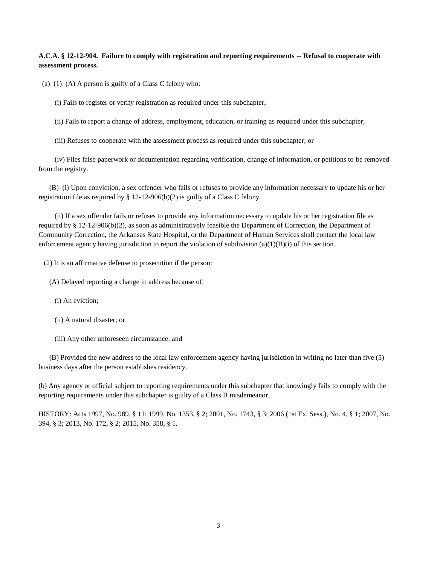### **A.C.A. § 12-12-904. Failure to comply with registration and reporting requirements -- Refusal to cooperate with assessment process.**

(a) (1) (A) A person is guilty of a Class C felony who:

(i) Fails to register or verify registration as required under this subchapter;

(ii) Fails to report a change of address, employment, education, or training as required under this subchapter;

(iii) Refuses to cooperate with the assessment process as required under this subchapter; or

 (iv) Files false paperwork or documentation regarding verification, change of information, or petitions to be removed from the registry.

 (B) (i) Upon conviction, a sex offender who fails or refuses to provide any information necessary to update his or her registration file as required by § 12-12-906(b)(2) is guilty of a Class C felony.

 (ii) If a sex offender fails or refuses to provide any information necessary to update his or her registration file as required by § 12-12-906(b)(2), as soon as administratively feasible the Department of Correction, the Department of Community Correction, the Arkansas State Hospital, or the Department of Human Services shall contact the local law enforcement agency having jurisdiction to report the violation of subdivision (a)(1)(B)(i) of this section.

(2) It is an affirmative defense to prosecution if the person:

- (A) Delayed reporting a change in address because of:
	- (i) An eviction;
	- (ii) A natural disaster; or
	- (iii) Any other unforeseen circumstance; and

 (B) Provided the new address to the local law enforcement agency having jurisdiction in writing no later than five (5) business days after the person establishes residency.

(b) Any agency or official subject to reporting requirements under this subchapter that knowingly fails to comply with the reporting requirements under this subchapter is guilty of a Class B misdemeanor.

HISTORY: Acts 1997, No. 989, § 11; 1999, No. 1353, § 2; 2001, No. 1743, § 3; 2006 (1st Ex. Sess.), No. 4, § 1; 2007, No. 394, § 3; 2013, No. 172, § 2; 2015, No. 358, § 1.